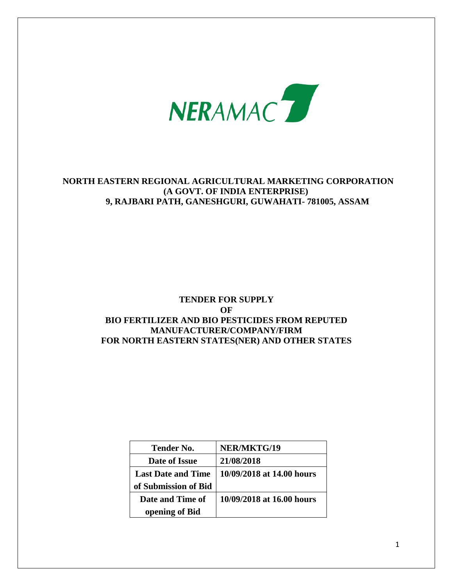

# **NORTH EASTERN REGIONAL AGRICULTURAL MARKETING CORPORATION (A GOVT. OF INDIA ENTERPRISE) 9, RAJBARI PATH, GANESHGURI, GUWAHATI- 781005, ASSAM**

# **TENDER FOR SUPPLY OF BIO FERTILIZER AND BIO PESTICIDES FROM REPUTED MANUFACTURER/COMPANY/FIRM FOR NORTH EASTERN STATES(NER) AND OTHER STATES**

| <b>Tender No.</b>         | NER/MKTG/19               |
|---------------------------|---------------------------|
| Date of Issue             | 21/08/2018                |
| <b>Last Date and Time</b> | 10/09/2018 at 14.00 hours |
| of Submission of Bid      |                           |
| Date and Time of          | 10/09/2018 at 16.00 hours |
| opening of Bid            |                           |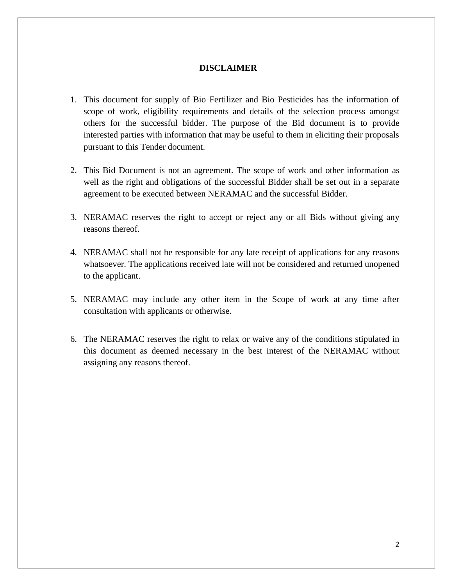#### **DISCLAIMER**

- 1. This document for supply of Bio Fertilizer and Bio Pesticides has the information of scope of work, eligibility requirements and details of the selection process amongst others for the successful bidder. The purpose of the Bid document is to provide interested parties with information that may be useful to them in eliciting their proposals pursuant to this Tender document.
- 2. This Bid Document is not an agreement. The scope of work and other information as well as the right and obligations of the successful Bidder shall be set out in a separate agreement to be executed between NERAMAC and the successful Bidder.
- 3. NERAMAC reserves the right to accept or reject any or all Bids without giving any reasons thereof.
- 4. NERAMAC shall not be responsible for any late receipt of applications for any reasons whatsoever. The applications received late will not be considered and returned unopened to the applicant.
- 5. NERAMAC may include any other item in the Scope of work at any time after consultation with applicants or otherwise.
- 6. The NERAMAC reserves the right to relax or waive any of the conditions stipulated in this document as deemed necessary in the best interest of the NERAMAC without assigning any reasons thereof.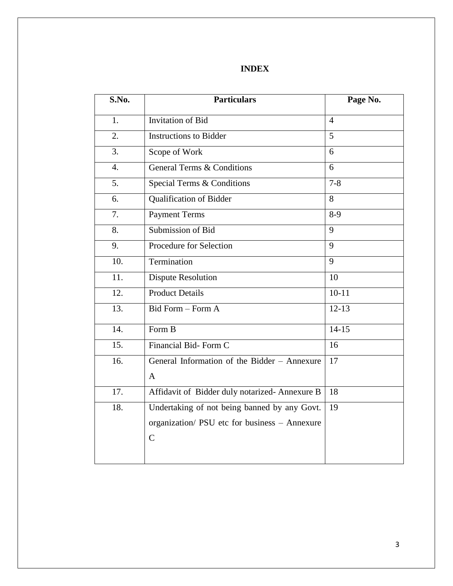# **INDEX**

| S.No.            | <b>Particulars</b>                            | Page No.       |
|------------------|-----------------------------------------------|----------------|
| 1.               | Invitation of Bid                             | $\overline{4}$ |
| 2.               | <b>Instructions to Bidder</b>                 | 5 <sup>5</sup> |
| 3.               | Scope of Work                                 | 6              |
| 4.               | <b>General Terms &amp; Conditions</b>         | 6              |
| 5.               | Special Terms & Conditions                    | $7 - 8$        |
| 6.               | <b>Qualification of Bidder</b>                | 8              |
| $\overline{7}$ . | <b>Payment Terms</b>                          | $8-9$          |
| 8.               | Submission of Bid                             | 9              |
| 9.               | Procedure for Selection                       | 9              |
| 10.              | Termination                                   | 9              |
| 11.              | <b>Dispute Resolution</b>                     | 10             |
| 12.              | <b>Product Details</b>                        | $10 - 11$      |
| 13.              | Bid Form - Form A                             | $12 - 13$      |
| 14.              | Form B                                        | $14-15$        |
| 15.              | Financial Bid-Form C                          | 16             |
| 16.              | General Information of the Bidder - Annexure  | 17             |
|                  | $\mathbf{A}$                                  |                |
| 17.              | Affidavit of Bidder duly notarized-Annexure B | 18             |
| 18.              | Undertaking of not being banned by any Govt.  | 19             |
|                  | organization/ PSU etc for business - Annexure |                |
|                  | $\mathbf C$                                   |                |
|                  |                                               |                |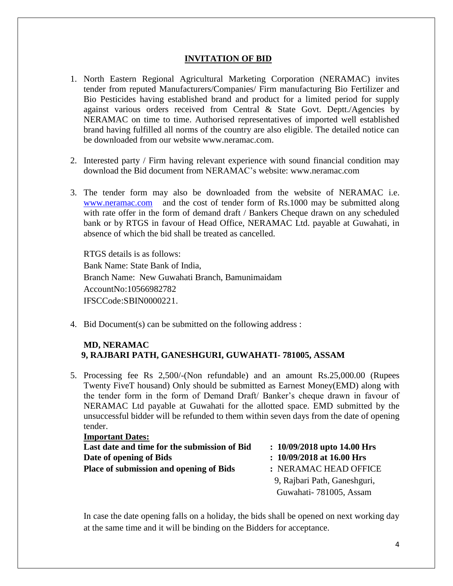#### **INVITATION OF BID**

- 1. North Eastern Regional Agricultural Marketing Corporation (NERAMAC) invites tender from reputed Manufacturers/Companies/ Firm manufacturing Bio Fertilizer and Bio Pesticides having established brand and product for a limited period for supply against various orders received from Central & State Govt. Deptt./Agencies by NERAMAC on time to time. Authorised representatives of imported well established brand having fulfilled all norms of the country are also eligible. The detailed notice can be downloaded from our website [www.neramac.com.](http://www.neramac.com/)
- 2. Interested party / Firm having relevant experience with sound financial condition may download the Bid document from NERAMAC"s website: [www.neramac.com](http://www.neramac.com/)
- 3. The tender form may also be downloaded from the website of NERAMAC i.e. [www.neramac.com](http://www.neramac.com/) and the cost of tender form of Rs.1000 may be submitted along with rate offer in the form of demand draft / Bankers Cheque drawn on any scheduled bank or by RTGS in favour of Head Office, NERAMAC Ltd. payable at Guwahati, in absence of which the bid shall be treated as cancelled.

RTGS details is as follows: Bank Name: State Bank of India, Branch Name: New Guwahati Branch, Bamunimaidam AccountNo:10566982782 IFSCCode:SBIN0000221.

4. Bid Document(s) can be submitted on the following address :

#### **MD, NERAMAC 9, RAJBARI PATH, GANESHGURI, GUWAHATI- 781005, ASSAM**

5. Processing fee Rs 2,500/-(Non refundable) and an amount Rs.25,000.00 (Rupees Twenty FiveT housand) Only should be submitted as Earnest Money(EMD) along with the tender form in the form of Demand Draft/ Banker"s cheque drawn in favour of NERAMAC Ltd payable at Guwahati for the allotted space. EMD submitted by the unsuccessful bidder will be refunded to them within seven days from the date of opening tender.

| <b>Important Dates:</b>                        |                               |
|------------------------------------------------|-------------------------------|
| Last date and time for the submission of Bid   | $: 10/09/2018$ upto 14.00 Hrs |
| Date of opening of Bids                        | $: 10/09/2018$ at 16.00 Hrs   |
| <b>Place of submission and opening of Bids</b> | : NERAMAC HEAD OFFICE         |
|                                                | 9, Rajbari Path, Ganeshguri,  |
|                                                | Guwahati-781005, Assam        |

In case the date opening falls on a holiday, the bids shall be opened on next working day at the same time and it will be binding on the Bidders for acceptance.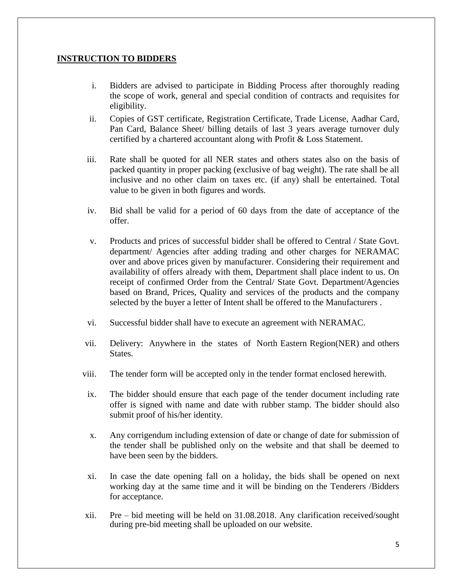#### **INSTRUCTION TO BIDDERS**

- i. Bidders are advised to participate in Bidding Process after thoroughly reading the scope of work, general and special condition of contracts and requisites for eligibility.
- ii. Copies of GST certificate, Registration Certificate, Trade License, Aadhar Card, Pan Card, Balance Sheet/ billing details of last 3 years average turnover duly certified by a chartered accountant along with Profit & Loss Statement.
- iii. Rate shall be quoted for all NER states and others states also on the basis of packed quantity in proper packing (exclusive of bag weight). The rate shall be all inclusive and no other claim on taxes etc. (if any) shall be entertained. Total value to be given in both figures and words.
- iv. Bid shall be valid for a period of 60 days from the date of acceptance of the offer.
- v. Products and prices of successful bidder shall be offered to Central / State Govt. department/ Agencies after adding trading and other charges for NERAMAC over and above prices given by manufacturer. Considering their requirement and availability of offers already with them, Department shall place indent to us. On receipt of confirmed Order from the Central/ State Govt. Department/Agencies based on Brand, Prices, Quality and services of the products and the company selected by the buyer a letter of Intent shall be offered to the Manufacturers .
- vi. Successful bidder shall have to execute an agreement with NERAMAC.
- vii. Delivery: Anywhere in the states of North Eastern Region(NER) and others States.
- viii. The tender form will be accepted only in the tender format enclosed herewith.
- ix. The bidder should ensure that each page of the tender document including rate offer is signed with name and date with rubber stamp. The bidder should also submit proof of his/her identity.
- x. Any corrigendum including extension of date or change of date for submission of the tender shall be published only on the website and that shall be deemed to have been seen by the bidders.
- xi. In case the date opening fall on a holiday, the bids shall be opened on next working day at the same time and it will be binding on the Tenderers /Bidders for acceptance.
- xii. Pre bid meeting will be held on 31.08.2018. Any clarification received/sought during pre-bid meeting shall be uploaded on our website.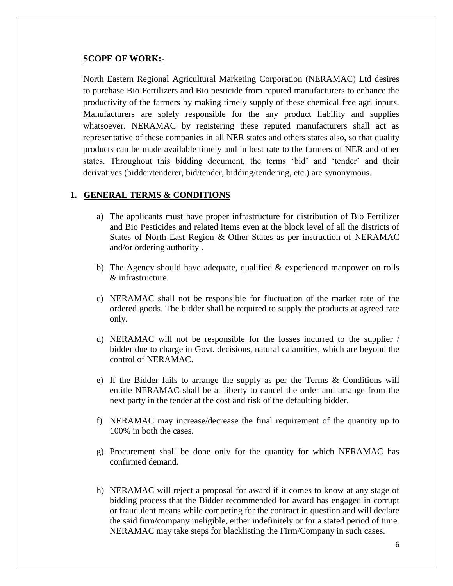#### **SCOPE OF WORK:-**

North Eastern Regional Agricultural Marketing Corporation (NERAMAC) Ltd desires to purchase Bio Fertilizers and Bio pesticide from reputed manufacturers to enhance the productivity of the farmers by making timely supply of these chemical free agri inputs. Manufacturers are solely responsible for the any product liability and supplies whatsoever. NERAMAC by registering these reputed manufacturers shall act as representative of these companies in all NER states and others states also, so that quality products can be made available timely and in best rate to the farmers of NER and other states. Throughout this bidding document, the terms "bid" and "tender" and their derivatives (bidder/tenderer, bid/tender, bidding/tendering, etc.) are synonymous.

#### **1. GENERAL TERMS & CONDITIONS**

- a) The applicants must have proper infrastructure for distribution of Bio Fertilizer and Bio Pesticides and related items even at the block level of all the districts of States of North East Region & Other States as per instruction of NERAMAC and/or ordering authority .
- b) The Agency should have adequate, qualified & experienced manpower on rolls & infrastructure.
- c) NERAMAC shall not be responsible for fluctuation of the market rate of the ordered goods. The bidder shall be required to supply the products at agreed rate only.
- d) NERAMAC will not be responsible for the losses incurred to the supplier / bidder due to charge in Govt. decisions, natural calamities, which are beyond the control of NERAMAC.
- e) If the Bidder fails to arrange the supply as per the Terms & Conditions will entitle NERAMAC shall be at liberty to cancel the order and arrange from the next party in the tender at the cost and risk of the defaulting bidder.
- f) NERAMAC may increase/decrease the final requirement of the quantity up to 100% in both the cases.
- g) Procurement shall be done only for the quantity for which NERAMAC has confirmed demand.
- h) NERAMAC will reject a proposal for award if it comes to know at any stage of bidding process that the Bidder recommended for award has engaged in corrupt or fraudulent means while competing for the contract in question and will declare the said firm/company ineligible, either indefinitely or for a stated period of time. NERAMAC may take steps for blacklisting the Firm/Company in such cases.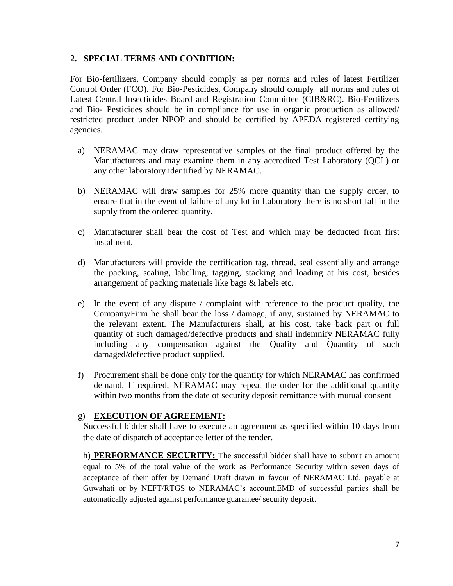#### **2. SPECIAL TERMS AND CONDITION:**

For Bio-fertilizers, Company should comply as per norms and rules of latest Fertilizer Control Order (FCO). For Bio-Pesticides, Company should comply all norms and rules of Latest Central Insecticides Board and Registration Committee (CIB&RC). Bio-Fertilizers and Bio- Pesticides should be in compliance for use in organic production as allowed/ restricted product under NPOP and should be certified by APEDA registered certifying agencies.

- a) NERAMAC may draw representative samples of the final product offered by the Manufacturers and may examine them in any accredited Test Laboratory (QCL) or any other laboratory identified by NERAMAC.
- b) NERAMAC will draw samples for 25% more quantity than the supply order, to ensure that in the event of failure of any lot in Laboratory there is no short fall in the supply from the ordered quantity.
- c) Manufacturer shall bear the cost of Test and which may be deducted from first instalment.
- d) Manufacturers will provide the certification tag, thread, seal essentially and arrange the packing, sealing, labelling, tagging, stacking and loading at his cost, besides arrangement of packing materials like bags & labels etc.
- e) In the event of any dispute / complaint with reference to the product quality, the Company/Firm he shall bear the loss / damage, if any, sustained by NERAMAC to the relevant extent. The Manufacturers shall, at his cost, take back part or full quantity of such damaged/defective products and shall indemnify NERAMAC fully including any compensation against the Quality and Quantity of such damaged/defective product supplied.
- f) Procurement shall be done only for the quantity for which NERAMAC has confirmed demand. If required, NERAMAC may repeat the order for the additional quantity within two months from the date of security deposit remittance with mutual consent

#### g) **EXECUTION OF AGREEMENT:**

Successful bidder shall have to execute an agreement as specified within 10 days from the date of dispatch of acceptance letter of the tender.

h) **PERFORMANCE SECURITY:** The successful bidder shall have to submit an amount equal to 5% of the total value of the work as Performance Security within seven days of acceptance of their offer by Demand Draft drawn in favour of NERAMAC Ltd. payable at Guwahati or by NEFT/RTGS to NERAMAC"s account.EMD of successful parties shall be automatically adjusted against performance guarantee/ security deposit.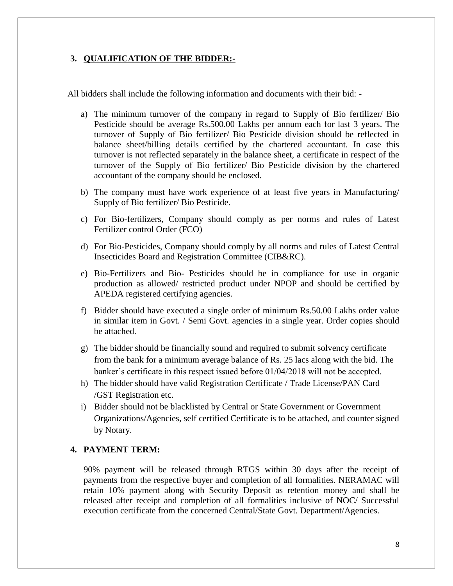## **3. QUALIFICATION OF THE BIDDER:-**

All bidders shall include the following information and documents with their bid: -

- a) The minimum turnover of the company in regard to Supply of Bio fertilizer/ Bio Pesticide should be average Rs.500.00 Lakhs per annum each for last 3 years. The turnover of Supply of Bio fertilizer/ Bio Pesticide division should be reflected in balance sheet/billing details certified by the chartered accountant. In case this turnover is not reflected separately in the balance sheet, a certificate in respect of the turnover of the Supply of Bio fertilizer/ Bio Pesticide division by the chartered accountant of the company should be enclosed.
- b) The company must have work experience of at least five years in Manufacturing/ Supply of Bio fertilizer/ Bio Pesticide.
- c) For Bio-fertilizers, Company should comply as per norms and rules of Latest Fertilizer control Order (FCO)
- d) For Bio-Pesticides, Company should comply by all norms and rules of Latest Central Insecticides Board and Registration Committee (CIB&RC).
- e) Bio-Fertilizers and Bio- Pesticides should be in compliance for use in organic production as allowed/ restricted product under NPOP and should be certified by APEDA registered certifying agencies.
- f) Bidder should have executed a single order of minimum Rs.50.00 Lakhs order value in similar item in Govt. / Semi Govt. agencies in a single year. Order copies should be attached.
- g) The bidder should be financially sound and required to submit solvency certificate from the bank for a minimum average balance of Rs. 25 lacs along with the bid. The banker"s certificate in this respect issued before 01/04/2018 will not be accepted.
- h) The bidder should have valid Registration Certificate / Trade License/PAN Card /GST Registration etc.
- i) Bidder should not be blacklisted by Central or State Government or Government Organizations/Agencies, self certified Certificate is to be attached, and counter signed by Notary.

## **4. PAYMENT TERM:**

90% payment will be released through RTGS within 30 days after the receipt of payments from the respective buyer and completion of all formalities. NERAMAC will retain 10% payment along with Security Deposit as retention money and shall be released after receipt and completion of all formalities inclusive of NOC/ Successful execution certificate from the concerned Central/State Govt. Department/Agencies.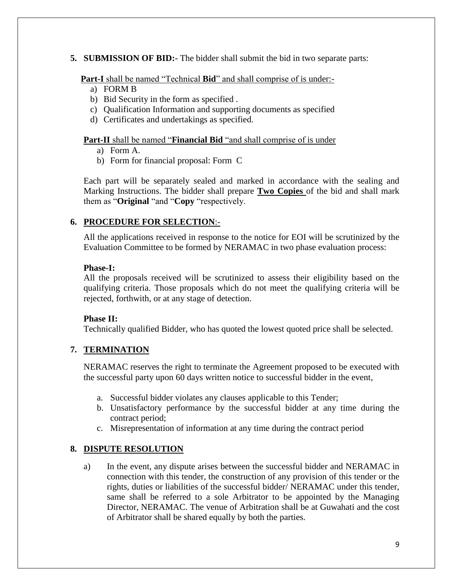#### **5. SUBMISSION OF BID:-** The bidder shall submit the bid in two separate parts:

**Part-I** shall be named "Technical **Bid**" and shall comprise of is under:-

- a) FORM B
- b) Bid Security in the form as specified .
- c) Qualification Information and supporting documents as specified
- d) Certificates and undertakings as specified.

#### **Part-II** shall be named "**Financial Bid** "and shall comprise of is under

- a) Form A.
- b) Form for financial proposal: Form C

Each part will be separately sealed and marked in accordance with the sealing and Marking Instructions. The bidder shall prepare **Two Copies** of the bid and shall mark them as "**Original** "and "**Copy** "respectively.

# **6. PROCEDURE FOR SELECTION**:-

All the applications received in response to the notice for EOI will be scrutinized by the Evaluation Committee to be formed by NERAMAC in two phase evaluation process:

#### **Phase-I:**

All the proposals received will be scrutinized to assess their eligibility based on the qualifying criteria. Those proposals which do not meet the qualifying criteria will be rejected, forthwith, or at any stage of detection.

#### **Phase II:**

Technically qualified Bidder, who has quoted the lowest quoted price shall be selected.

#### **7. TERMINATION**

NERAMAC reserves the right to terminate the Agreement proposed to be executed with the successful party upon 60 days written notice to successful bidder in the event,

- a. Successful bidder violates any clauses applicable to this Tender;
- b. Unsatisfactory performance by the successful bidder at any time during the contract period;
- c. Misrepresentation of information at any time during the contract period

#### **8. DISPUTE RESOLUTION**

a) In the event, any dispute arises between the successful bidder and NERAMAC in connection with this tender, the construction of any provision of this tender or the rights, duties or liabilities of the successful bidder/ NERAMAC under this tender, same shall be referred to a sole Arbitrator to be appointed by the Managing Director, NERAMAC. The venue of Arbitration shall be at Guwahati and the cost of Arbitrator shall be shared equally by both the parties.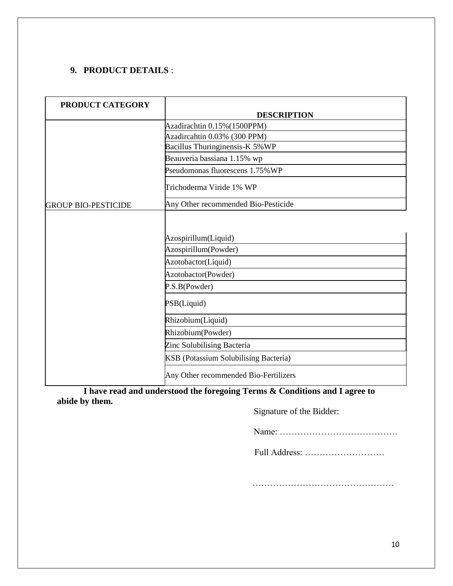# **9. PRODUCT DETAILS** :

| PRODUCT CATEGORY           |                                                                     |  |
|----------------------------|---------------------------------------------------------------------|--|
|                            | <b>DESCRIPTION</b>                                                  |  |
|                            | Azadirachtin 0.15% (1500PPM)                                        |  |
|                            | Azadircahtin 0.03% (300 PPM)                                        |  |
|                            | Bacillus Thuringinensis-K 5% WP                                     |  |
|                            | Beauveria bassiana 1.15% wp                                         |  |
|                            | Pseudomonas fluorescens 1.75% WP                                    |  |
|                            | Trichoderma Viride 1% WP                                            |  |
| <b>GROUP BIO-PESTICIDE</b> | Any Other recommended Bio-Pesticide                                 |  |
|                            | Azospirillum(Liquid)<br>Azospirillum(Powder)<br>Azotobactor(Liquid) |  |
|                            |                                                                     |  |
|                            | Azotobactor(Powder)                                                 |  |
|                            | P.S.B(Powder)                                                       |  |
|                            | PSB(Liquid)                                                         |  |
|                            | Rhizobium(Liquid)                                                   |  |
|                            | Rhizobium(Powder)                                                   |  |
|                            | Zinc Solubilising Bacteria                                          |  |
|                            | KSB (Potassium Solubilising Bacteria)                               |  |
|                            | Any Other recommended Bio-Fertilizers                               |  |

**I have read and understood the foregoing Terms & Conditions and I agree to abide by them.**

Signature of the Bidder:

Name: ………………………………….

Full Address: ………………………

…………………………………………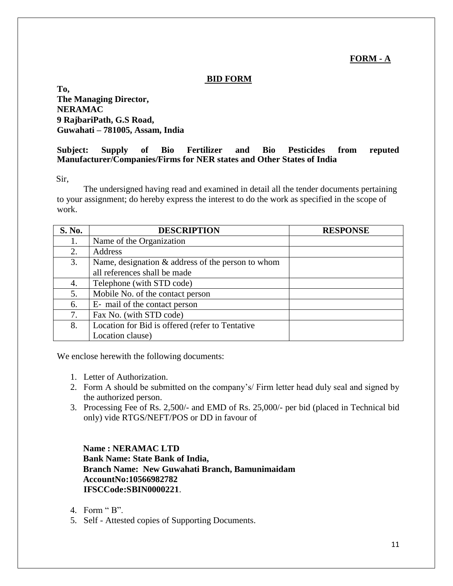# **FORM - A**

#### **BID FORM**

**To, The Managing Director, NERAMAC 9 RajbariPath, G.S Road, Guwahati – 781005, Assam, India**

## **Subject: Supply of Bio Fertilizer and Bio Pesticides from reputed Manufacturer/Companies/Firms for NER states and Other States of India**

Sir,

The undersigned having read and examined in detail all the tender documents pertaining to your assignment; do hereby express the interest to do the work as specified in the scope of work.

| <b>S. No.</b> | <b>DESCRIPTION</b>                                   | <b>RESPONSE</b> |
|---------------|------------------------------------------------------|-----------------|
| 1.            | Name of the Organization                             |                 |
| 2.            | Address                                              |                 |
| 3.            | Name, designation $\&$ address of the person to whom |                 |
|               | all references shall be made                         |                 |
| 4.            | Telephone (with STD code)                            |                 |
| 5.            | Mobile No. of the contact person                     |                 |
| 6.            | E- mail of the contact person                        |                 |
| 7.            | Fax No. (with STD code)                              |                 |
| 8.            | Location for Bid is offered (refer to Tentative      |                 |
|               | Location clause)                                     |                 |

We enclose herewith the following documents:

- 1. Letter of Authorization.
- 2. Form A should be submitted on the company"s/ Firm letter head duly seal and signed by the authorized person.
- 3. Processing Fee of Rs. 2,500/- and EMD of Rs. 25,000/- per bid (placed in Technical bid only) vide RTGS/NEFT/POS or DD in favour of

**Name : NERAMAC LTD Bank Name: State Bank of India, Branch Name: New Guwahati Branch, Bamunimaidam AccountNo:10566982782 IFSCCode:SBIN0000221**.

- 4. Form " $B$ ".
- 5. Self Attested copies of Supporting Documents.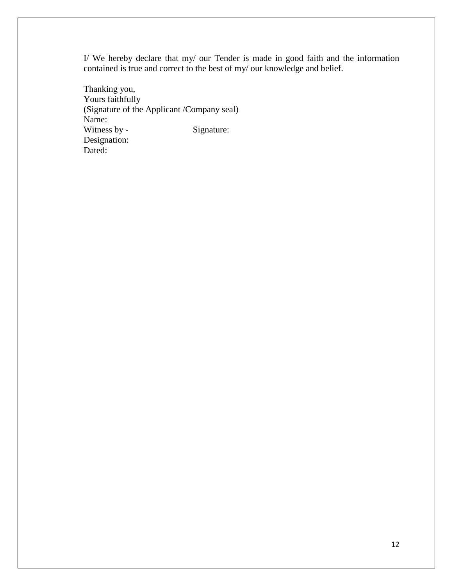I/ We hereby declare that my/ our Tender is made in good faith and the information contained is true and correct to the best of my/ our knowledge and belief.

Thanking you, Yours faithfully (Signature of the Applicant /Company seal) Name: Witness by - Signature: Designation: Dated: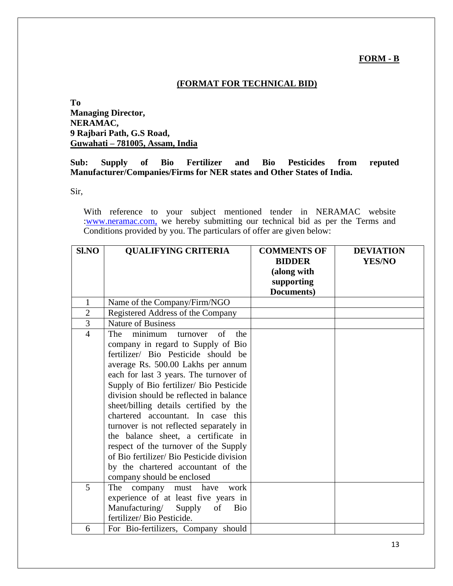#### **FORM - B**

# **(FORMAT FOR TECHNICAL BID)**

# **To Managing Director, NERAMAC, 9 Rajbari Path, G.S Road, Guwahati – 781005, Assam, India**

#### **Sub: Supply of Bio Fertilizer and Bio Pesticides from reputed Manufacturer/Companies/Firms for NER states and Other States of India.**

Sir,

With reference to your subject mentioned tender in NERAMAC website [:www.neramac.com,](http://www.neramac.com,/) we hereby submitting our technical bid as per the Terms and Conditions provided by you. The particulars of offer are given below:

| <b>SI.NO</b>   | <b>QUALIFYING CRITERIA</b>                   | <b>COMMENTS OF</b> | <b>DEVIATION</b> |
|----------------|----------------------------------------------|--------------------|------------------|
|                |                                              | <b>BIDDER</b>      | <b>YES/NO</b>    |
|                |                                              | (along with        |                  |
|                |                                              | supporting         |                  |
|                |                                              | Documents)         |                  |
| 1              | Name of the Company/Firm/NGO                 |                    |                  |
| $\overline{2}$ | Registered Address of the Company            |                    |                  |
| 3              | <b>Nature of Business</b>                    |                    |                  |
| $\overline{4}$ | of<br>The<br>the<br>minimum<br>turnover      |                    |                  |
|                | company in regard to Supply of Bio           |                    |                  |
|                | fertilizer/ Bio Pesticide should be          |                    |                  |
|                | average Rs. 500.00 Lakhs per annum           |                    |                  |
|                | each for last 3 years. The turnover of       |                    |                  |
|                | Supply of Bio fertilizer/ Bio Pesticide      |                    |                  |
|                | division should be reflected in balance      |                    |                  |
|                | sheet/billing details certified by the       |                    |                  |
|                | chartered accountant. In case this           |                    |                  |
|                | turnover is not reflected separately in      |                    |                  |
|                | the balance sheet, a certificate in          |                    |                  |
|                | respect of the turnover of the Supply        |                    |                  |
|                | of Bio fertilizer/ Bio Pesticide division    |                    |                  |
|                | by the chartered accountant of the           |                    |                  |
|                | company should be enclosed                   |                    |                  |
| 5              | company must have<br>work<br>The             |                    |                  |
|                | experience of at least five years in         |                    |                  |
|                | Manufacturing/<br>of<br><b>Bio</b><br>Supply |                    |                  |
|                | fertilizer/ Bio Pesticide.                   |                    |                  |
| 6              | For Bio-fertilizers, Company should          |                    |                  |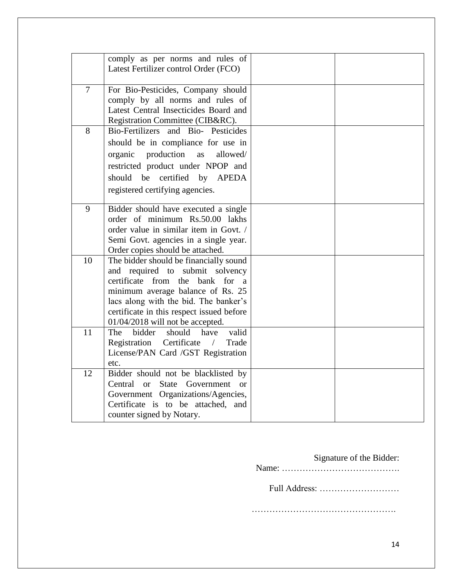|                | comply as per norms and rules of          |  |
|----------------|-------------------------------------------|--|
|                | Latest Fertilizer control Order (FCO)     |  |
|                |                                           |  |
| $\overline{7}$ | For Bio-Pesticides, Company should        |  |
|                | comply by all norms and rules of          |  |
|                | Latest Central Insecticides Board and     |  |
|                | Registration Committee (CIB&RC).          |  |
| 8              | Bio-Fertilizers and Bio-Pesticides        |  |
|                | should be in compliance for use in        |  |
|                | production<br>allowed/<br>organic<br>as   |  |
|                | restricted product under NPOP and         |  |
|                | should be<br>certified by<br><b>APEDA</b> |  |
|                |                                           |  |
|                | registered certifying agencies.           |  |
|                |                                           |  |
| 9              | Bidder should have executed a single      |  |
|                | order of minimum Rs.50.00 lakhs           |  |
|                | order value in similar item in Govt. /    |  |
|                | Semi Govt. agencies in a single year.     |  |
|                | Order copies should be attached.          |  |
| 10             | The bidder should be financially sound    |  |
|                | and required to submit solvency           |  |
|                | certificate from the bank for a           |  |
|                | minimum average balance of Rs. 25         |  |
|                | lacs along with the bid. The banker's     |  |
|                | certificate in this respect issued before |  |
|                | 01/04/2018 will not be accepted.          |  |
| 11             | valid<br>bidder<br>should have<br>The     |  |
|                | Registration Certificate /<br>Trade       |  |
|                | License/PAN Card /GST Registration        |  |
|                | etc.                                      |  |
| 12             | Bidder should not be blacklisted by       |  |
|                | Central or State Government<br>or         |  |
|                | Government Organizations/Agencies,        |  |
|                | Certificate is to be attached, and        |  |
|                | counter signed by Notary.                 |  |

# Signature of the Bidder: Name: …………………………………. Full Address: ……………………… ………………………………………….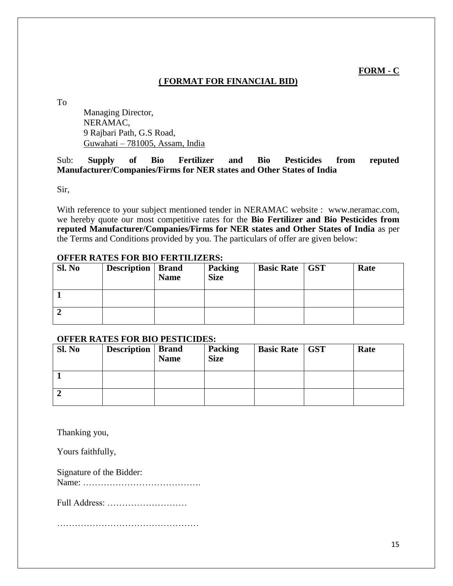**FORM - C**

# **( FORMAT FOR FINANCIAL BID)**

To

Managing Director, NERAMAC, 9 Rajbari Path, G.S Road, Guwahati – 781005, Assam, India

# Sub: **Supply of Bio Fertilizer and Bio Pesticides from reputed Manufacturer/Companies/Firms for NER states and Other States of India**

Sir,

With reference to your subject mentioned tender in NERAMAC website : [www.neramac.com,](http://www.neramac.com/) we hereby quote our most competitive rates for the **Bio Fertilizer and Bio Pesticides from reputed Manufacturer/Companies/Firms for NER states and Other States of India** as per the Terms and Conditions provided by you. The particulars of offer are given below:

| Sl. No | <b>Description</b>   Brand | <b>Name</b> | <b>Packing</b><br><b>Size</b> | <b>Basic Rate   GST</b> | Rate |
|--------|----------------------------|-------------|-------------------------------|-------------------------|------|
|        |                            |             |                               |                         |      |
|        |                            |             |                               |                         |      |

# **OFFER RATES FOR BIO FERTILIZERS:**

#### **OFFER RATES FOR BIO PESTICIDES:**

| Sl. No | <b>Description</b>   Brand | <b>Name</b> | <b>Packing</b><br><b>Size</b> | <b>Basic Rate</b>   GST | Rate |
|--------|----------------------------|-------------|-------------------------------|-------------------------|------|
|        |                            |             |                               |                         |      |
|        |                            |             |                               |                         |      |

Thanking you,

Yours faithfully,

Signature of the Bidder: Name: ………………………………….

Full Address: ………………………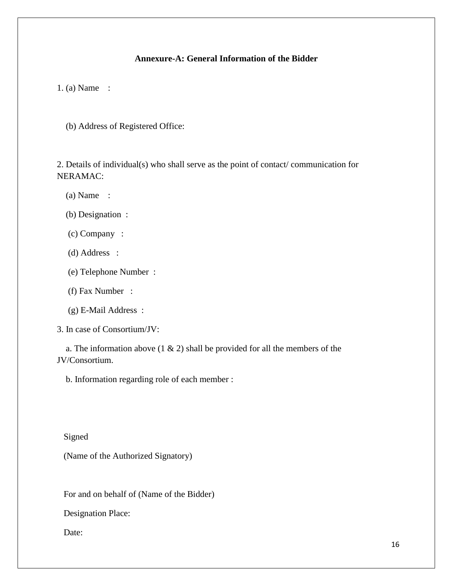# **Annexure-A: General Information of the Bidder**

1. (a) Name :

(b) Address of Registered Office:

2. Details of individual(s) who shall serve as the point of contact/ communication for NERAMAC:

- (a) Name :
- (b) Designation :
- (c) Company :
- (d) Address :
- (e) Telephone Number :
- (f) Fax Number :
- (g) E-Mail Address :
- 3. In case of Consortium/JV:

a. The information above  $(1 \& 2)$  shall be provided for all the members of the JV/Consortium.

b. Information regarding role of each member :

Signed

(Name of the Authorized Signatory)

For and on behalf of (Name of the Bidder)

Designation Place:

Date: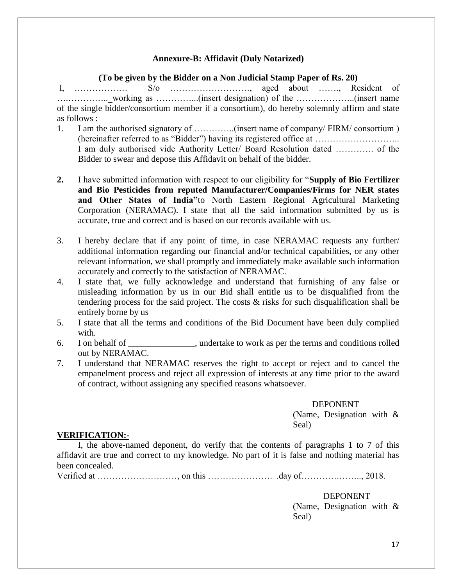# **Annexure-B: Affidavit (Duly Notarized)**

#### **(To be given by the Bidder on a Non Judicial Stamp Paper of Rs. 20)**

I, ……………… S/o ………………………, aged about ……., Resident of ….…………..\_working as …………...(insert designation) of the ………………..(insert name of the single bidder/consortium member if a consortium), do hereby solemnly affirm and state as follows :

- 1. I am the authorised signatory of …………..(insert name of company/ FIRM/ consortium ) (hereinafter referred to as "Bidder") having its registered office at ……………………….. I am duly authorised vide Authority Letter/ Board Resolution dated …………. of the Bidder to swear and depose this Affidavit on behalf of the bidder.
- **2.** I have submitted information with respect to our eligibility for "**Supply of Bio Fertilizer and Bio Pesticides from reputed Manufacturer/Companies/Firms for NER states and Other States of India"**to North Eastern Regional Agricultural Marketing Corporation (NERAMAC). I state that all the said information submitted by us is accurate, true and correct and is based on our records available with us.
- 3. I hereby declare that if any point of time, in case NERAMAC requests any further/ additional information regarding our financial and/or technical capabilities, or any other relevant information, we shall promptly and immediately make available such information accurately and correctly to the satisfaction of NERAMAC.
- 4. I state that, we fully acknowledge and understand that furnishing of any false or misleading information by us in our Bid shall entitle us to be disqualified from the tendering process for the said project. The costs & risks for such disqualification shall be entirely borne by us
- 5. I state that all the terms and conditions of the Bid Document have been duly complied with.
- 6. I on behalf of \_\_\_\_\_\_\_\_\_\_\_\_\_\_\_, undertake to work as per the terms and conditions rolled out by NERAMAC.
- 7. I understand that NERAMAC reserves the right to accept or reject and to cancel the empanelment process and reject all expression of interests at any time prior to the award of contract, without assigning any specified reasons whatsoever.

#### DEPONENT

(Name, Designation with & Seal)

#### **VERIFICATION:-**

I, the above-named deponent, do verify that the contents of paragraphs 1 to 7 of this affidavit are true and correct to my knowledge. No part of it is false and nothing material has been concealed.

Verified at ………………………, on this …………………. .day of………….…….., 2018.

DEPONENT (Name, Designation with & Seal)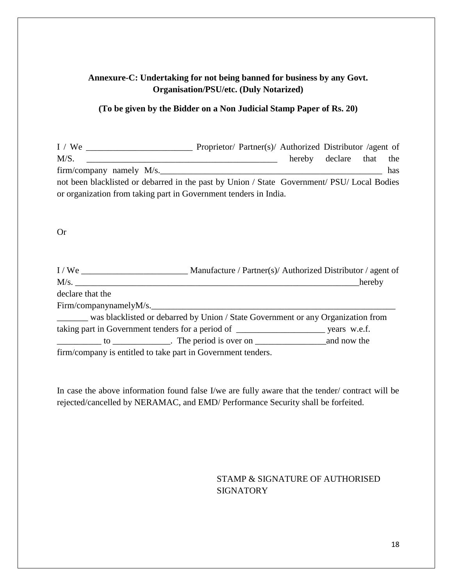# **Annexure-C: Undertaking for not being banned for business by any Govt. Organisation/PSU/etc. (Duly Notarized)**

## **(To be given by the Bidder on a Non Judicial Stamp Paper of Rs. 20)**

I / We \_\_\_\_\_\_\_\_\_\_\_\_\_\_\_\_\_\_\_\_\_\_\_\_ Proprietor/ Partner(s)/ Authorized Distributor /agent of M/S. \_\_\_\_\_\_\_\_\_\_\_\_\_\_\_\_\_\_\_\_\_\_\_\_\_\_\_\_\_\_\_\_\_\_\_\_\_\_\_\_\_\_\_ hereby declare that the firm/company namely  $M/s$ . not been blacklisted or debarred in the past by Union / State Government/ PSU/ Local Bodies or organization from taking part in Government tenders in India.

#### Or

| I/We                                                         |                                                                                         | Manufacture / Partner(s)/ Authorized Distributor / agent of |
|--------------------------------------------------------------|-----------------------------------------------------------------------------------------|-------------------------------------------------------------|
|                                                              |                                                                                         | hereby                                                      |
| declare that the                                             |                                                                                         |                                                             |
| Firm/companynamelyM/s.                                       |                                                                                         |                                                             |
|                                                              | ______ was blacklisted or debarred by Union / State Government or any Organization from |                                                             |
|                                                              |                                                                                         |                                                             |
|                                                              |                                                                                         |                                                             |
| firm/company is entitled to take part in Government tenders. |                                                                                         |                                                             |

In case the above information found false I/we are fully aware that the tender/ contract will be rejected/cancelled by NERAMAC, and EMD/ Performance Security shall be forfeited.

# STAMP & SIGNATURE OF AUTHORISED **SIGNATORY**